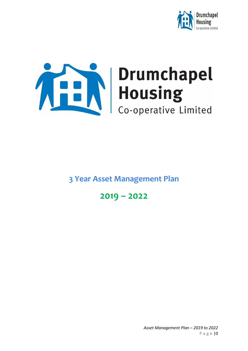



**3 Year Asset Management Plan**

**2019 – 2022**

*Asset Management Plan – 2019 to 2022* P a g e |0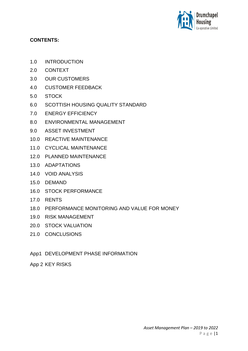

### **CONTENTS:**

- 1.0 INTRODUCTION
- 2.0 CONTEXT
- 3.0 OUR CUSTOMERS
- 4.0 CUSTOMER FEEDBACK
- 5.0 STOCK
- 6.0 SCOTTISH HOUSING QUALITY STANDARD
- 7.0 ENERGY EFFICIENCY
- 8.0 ENVIRONMENTAL MANAGEMENT
- 9.0 ASSET INVESTMENT
- 10.0 REACTIVE MAINTENANCE
- 11.0 CYCLICAL MAINTENANCE
- 12.0 PLANNED MAINTENANCE
- 13.0 ADAPTATIONS
- 14.0 VOID ANALYSIS
- 15.0 DEMAND
- 16.0 STOCK PERFORMANCE
- 17.0 RENTS
- 18.0 PERFORMANCE MONITORING AND VALUE FOR MONEY
- 19.0 RISK MANAGEMENT
- 20.0 STOCK VALUATION
- 21.0 CONCLUSIONS
- App1 DEVELOPMENT PHASE INFORMATION

App 2 KEY RISKS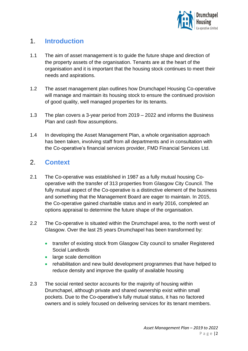

## 1. **Introduction**

- 1.1 The aim of asset management is to guide the future shape and direction of the property assets of the organisation. Tenants are at the heart of the organisation and it is important that the housing stock continues to meet their needs and aspirations.
- 1.2 The asset management plan outlines how Drumchapel Housing Co-operative will manage and maintain its housing stock to ensure the continued provision of good quality, well managed properties for its tenants.
- 1.3 The plan covers a 3-year period from 2019 2022 and informs the Business Plan and cash flow assumptions.
- 1.4 In developing the Asset Management Plan, a whole organisation approach has been taken, involving staff from all departments and in consultation with the Co-operative's financial services provider, FMD Financial Services Ltd.

## 2. **Context**

- 2.1 The Co-operative was established in 1987 as a fully mutual housing Cooperative with the transfer of 313 properties from Glasgow City Council. The fully mutual aspect of the Co-operative is a distinctive element of the business and something that the Management Board are eager to maintain. In 2015, the Co-operative gained charitable status and in early 2016, completed an options appraisal to determine the future shape of the organisation.
- 2.2 The Co-operative is situated within the Drumchapel area, to the north west of Glasgow. Over the last 25 years Drumchapel has been transformed by:
	- transfer of existing stock from Glasgow City council to smaller Registered Social Landlords
	- large scale demolition
	- rehabilitation and new build development programmes that have helped to reduce density and improve the quality of available housing
- 2.3 The social rented sector accounts for the majority of housing within Drumchapel, although private and shared ownership exist within small pockets. Due to the Co-operative's fully mutual status, it has no factored owners and is solely focused on delivering services for its tenant members.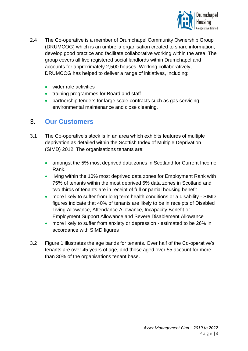

- 2.4 The Co-operative is a member of Drumchapel Community Ownership Group (DRUMCOG) which is an umbrella organisation created to share information, develop good practice and facilitate collaborative working within the area. The group covers all five registered social landlords within Drumchapel and accounts for approximately 2,500 houses. Working collaboratively, DRUMCOG has helped to deliver a range of initiatives, including:
	- wider role activities
	- training programmes for Board and staff
	- partnership tenders for large scale contracts such as gas servicing, environmental maintenance and close cleaning.

### 3. **Our Customers**

- 3.1 The Co-operative's stock is in an area which exhibits features of multiple deprivation as detailed within the Scottish Index of Multiple Deprivation (SIMD) 2012. The organisations tenants are:
	- amongst the 5% most deprived data zones in Scotland for Current Income Rank.
	- living within the 10% most deprived data zones for Employment Rank with 75% of tenants within the most deprived 5% data zones in Scotland and two thirds of tenants are in receipt of full or partial housing benefit
	- more likely to suffer from long term health conditions or a disability SIMD figures indicate that 40% of tenants are likely to be in receipts of Disabled Living Allowance, Attendance Allowance, Incapacity Benefit or Employment Support Allowance and Severe Disablement Allowance
	- more likely to suffer from anxiety or depression estimated to be 26% in accordance with SIMD figures
- 3.2 Figure 1 illustrates the age bands for tenants. Over half of the Co-operative's tenants are over 45 years of age, and those aged over 55 account for more than 30% of the organisations tenant base.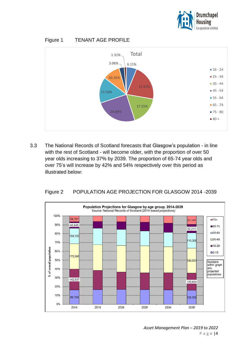

### Figure 1 TENANT AGE PROFILE



3.3 The National Records of Scotland forecasts that Glasgow's population - in line with the rest of Scotland - will become older, with the proportion of over 50 year olds increasing to 37% by 2039. The proportion of 65-74 year olds and over 75's will increase by 42% and 54% respectively over this period as illustrated below:

### Figure 2 POPULATION AGE PROJECTION FOR GLASGOW 2014 -2039



*Asset Management Plan – 2019 to 2022* P a g e |4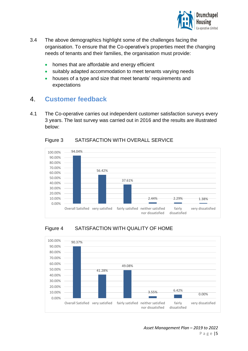

- 3.4 The above demographics highlight some of the challenges facing the organisation. To ensure that the Co-operative's properties meet the changing needs of tenants and their families, the organisation must provide:
	- homes that are affordable and energy efficient
	- suitably adapted accommodation to meet tenants varying needs
	- houses of a type and size that meet tenants' requirements and expectations

## 4. **Customer feedback**

4.1 The Co-operative carries out independent customer satisfaction surveys every 3 years. The last survey was carried out in 2016 and the results are illustrated below:



### Figure 3 SATISFACTION WITH OVERALL SERVICE

### Figure 4 SATISFACTION WITH QUALITY OF HOME



*Asset Management Plan – 2019 to 2022* P a g e |5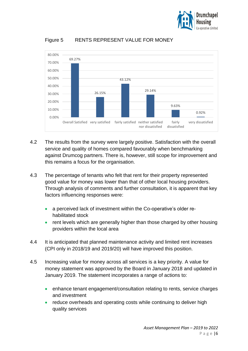

Figure 5 RENTS REPRESENT VALUE FOR MONEY



- 4.2 The results from the survey were largely positive. Satisfaction with the overall service and quality of homes compared favourably when benchmarking against Drumcog partners. There is, however, still scope for improvement and this remains a focus for the organisation.
- 4.3 The percentage of tenants who felt that rent for their property represented good value for money was lower than that of other local housing providers. Through analysis of comments and further consultation, it is apparent that key factors influencing responses were:
	- a perceived lack of investment within the Co-operative's older rehabilitated stock
	- rent levels which are generally higher than those charged by other housing providers within the local area
- 4.4 It is anticipated that planned maintenance activity and limited rent increases (CPI only in 2018/19 and 2019/20) will have improved this position.
- 4.5 Increasing value for money across all services is a key priority. A value for money statement was approved by the Board in January 2018 and updated in January 2019. The statement incorporates a range of actions to:
	- enhance tenant engagement/consultation relating to rents, service charges and investment
	- reduce overheads and operating costs while continuing to deliver high quality services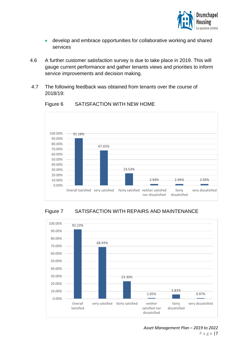

- develop and embrace opportunities for collaborative working and shared services
- 4.6 A further customer satisfaction survey is due to take place in 2019. This will gauge current performance and gather tenants views and priorities to inform service improvements and decision making.
- 4.7 The following feedback was obtained from tenants over the course of 2018/19:



### Figure 6 SATISFACTION WITH NEW HOME

### Figure 7 SATISFACTION WITH REPAIRS AND MAINTENANCE



*Asset Management Plan – 2019 to 2022* Page | 7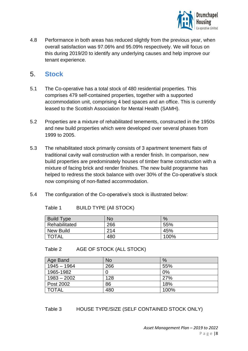

4.8 Performance in both areas has reduced slightly from the previous year, when overall satisfaction was 97.06% and 95.09% respectively. We will focus on this during 2019/20 to identify any underlying causes and help improve our tenant experience.

### 5. **Stock**

- 5.1 The Co-operative has a total stock of 480 residential properties. This comprises 479 self-contained properties, together with a supported accommodation unit, comprising 4 bed spaces and an office. This is currently leased to the Scottish Association for Mental Health (SAMH).
- 5.2 Properties are a mixture of rehabilitated tenements, constructed in the 1950s and new build properties which were developed over several phases from 1999 to 2005.
- 5.3 The rehabilitated stock primarily consists of 3 apartment tenement flats of traditional cavity wall construction with a render finish. In comparison, new build properties are predominately houses of timber frame construction with a mixture of facing brick and render finishes. The new build programme has helped to redress the stock balance with over 30% of the Co-operative's stock now comprising of non-flatted accommodation.
- 5.4 The configuration of the Co-operative's stock is illustrated below:

| <b>Build Type</b> | No  | $\%$ |
|-------------------|-----|------|
| Rehabilitated     | 266 | 55%  |
| <b>New Build</b>  | 214 | 45%  |
| TOTAL             | 480 | 100% |

Table 1 BUILD TYPE (All STOCK)

Table 2 AGE OF STOCK (ALL STOCK)

| Age Band      | No  | %    |
|---------------|-----|------|
| $1945 - 1964$ | 266 | 55%  |
| 1965-1982     |     | 0%   |
| $1983 - 2002$ | 128 | 27%  |
| Post 2002     | 86  | 18%  |
| <b>TOTAL</b>  | 480 | 100% |

Table 3 HOUSE TYPE/SIZE (SELF CONTAINED STOCK ONLY)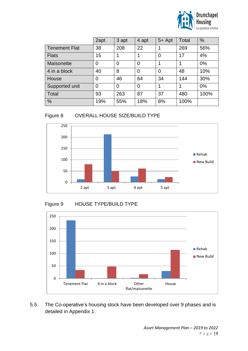

|                      | 2apt | 3 apt          | 4 apt          | $5+$ Apt       | <b>Total</b> | %     |
|----------------------|------|----------------|----------------|----------------|--------------|-------|
| <b>Tenement Flat</b> | 38   | 208            | 22             |                | 269          | 56%   |
| <b>Flats</b>         | 15   | 1              | 1              | $\overline{0}$ | 17           | 4%    |
| Maisonette           | 0    | $\overline{0}$ | $\overline{0}$ |                | 1            | 0%    |
| 4 in a block         | 40   | 8              | $\overline{0}$ | 0              | 48           | 10%   |
| House                | 0    | 46             | 64             | 34             | 144          | 30%   |
| Supported unit       | 0    | $\overline{0}$ | $\overline{0}$ |                | 1            | $0\%$ |
| Total                | 93   | 263            | 87             | 37             | 480          | 100%  |
| $\%$                 | 19%  | 55%            | 18%            | 8%             | 100%         |       |



Figure 8 OVERALL HOUSE SIZE/BUILD TYPE







5.5 The Co-operative's housing stock have been developed over 9 phases and is detailed in Appendix 1.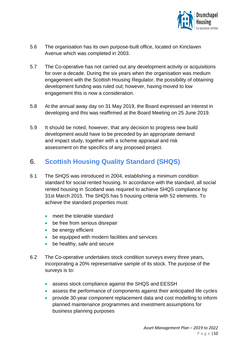

- 5.6 The organisation has its own purpose-built office, located on Kinclaven Avenue which was completed in 2003.
- 5.7 The Co-operative has not carried out any development activity or acquisitions for over a decade. During the six years when the organisation was medium engagement with the Scottish Housing Regulator, the possibility of obtaining development funding was ruled out; however, having moved to low engagement this is now a consideration.
- 5.8 At the annual away day on 31 May 2019, the Board expressed an interest in developing and this was reaffirmed at the Board Meeting on 25 June 2019.
- 5.9 It should be noted, however, that any decision to progress new build development would have to be preceded by an appropriate demand and impact study, together with a scheme appraisal and risk assessment on the specifics of any proposed project.

# 6. **Scottish Housing Quality Standard (SHQS)**

- 6.1 The SHQS was introduced in 2004, establishing a minimum condition standard for social rented housing. In accordance with the standard, all social rented housing in Scotland was required to achieve SHQS compliance by 31st March 2015. The SHQS has 5 housing criteria with 52 elements. To achieve the standard properties must:
	- meet the tolerable standard
	- be free from serious disrepair
	- be energy efficient
	- be equipped with modern facilities and services
	- be healthy, safe and secure
- 6.2 The Co-operative undertakes stock condition surveys every three years, incorporating a 20% representative sample of its stock. The purpose of the surveys is to:
	- assess stock compliance against the SHQS and EESSH
	- assess the performance of components against their anticipated life cycles
	- provide 30-year component replacement data and cost modelling to inform planned maintenance programmes and investment assumptions for business planning purposes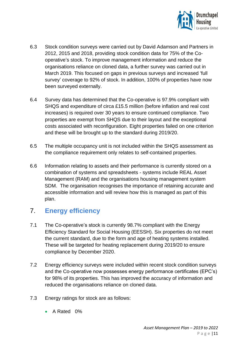![](_page_11_Picture_0.jpeg)

- 6.3 Stock condition surveys were carried out by David Adamson and Partners in 2012, 2015 and 2018, providing stock condition data for 75% of the Cooperative's stock. To improve management information and reduce the organisations reliance on cloned data, a further survey was carried out in March 2019. This focused on gaps in previous surveys and increased 'full survey' coverage to 92% of stock. In addition, 100% of properties have now been surveyed externally.
- 6.4 Survey data has determined that the Co-operative is 97.9% compliant with SHQS and expenditure of circa £15.5 million (before inflation and real cost increases) is required over 30 years to ensure continued compliance. Two properties are exempt from SHQS due to their layout and the exceptional costs associated with reconfiguration. Eight properties failed on one criterion and these will be brought up to the standard during 2019/20.
- 6.5 The multiple occupancy unit is not included within the SHQS assessment as the compliance requirement only relates to self-contained properties.
- 6.6 Information relating to assets and their performance is currently stored on a combination of systems and spreadsheets - systems include REAL Asset Management (RAM) and the organisations housing management system SDM. The organisation recognises the importance of retaining accurate and accessible information and will review how this is managed as part of this plan.

# 7. **Energy efficiency**

- 7.1 The Co-operative's stock is currently 98.7% compliant with the Energy Efficiency Standard for Social Housing (EESSH). Six properties do not meet the current standard, due to the form and age of heating systems installed. These will be targeted for heating replacement during 2019/20 to ensure compliance by December 2020.
- 7.2 Energy efficiency surveys were included within recent stock condition surveys and the Co-operative now possesses energy performance certificates (EPC's) for 98% of its properties. This has improved the accuracy of information and reduced the organisations reliance on cloned data.
- 7.3 Energy ratings for stock are as follows:
	- A Rated 0%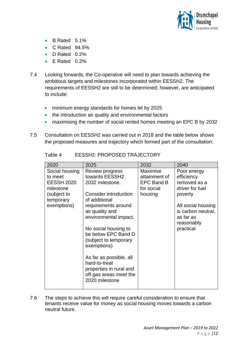![](_page_12_Picture_0.jpeg)

- B Rated 5.1%
- C Rated 94.5%
- D Rated 0.2%
- $\bullet$  E Rated 0.2%
- 7.4 Looking forwards, the Co-operative will need to plan towards achieving the ambitious targets and milestones incorporated within EESSH2. The requirements of EESSH2 are still to be determined; however, are anticipated to include:
	- minimum energy standards for homes let by 2025
	- the introduction air quality and environmental factors
	- maximising the number of social rented homes meeting an EPC B by 2032
- 7.5 Consultation on EESSH2 was carried out in 2018 and the table below shows the proposed measures and trajectory which formed part of the consultation.

| 2020                                                                                                   | 2025                                                                                                                                                                                                                                                                                                                                                                        | 2032                                                                    | 2040                                                                                                                                                        |
|--------------------------------------------------------------------------------------------------------|-----------------------------------------------------------------------------------------------------------------------------------------------------------------------------------------------------------------------------------------------------------------------------------------------------------------------------------------------------------------------------|-------------------------------------------------------------------------|-------------------------------------------------------------------------------------------------------------------------------------------------------------|
| Social housing<br>to meet<br><b>EESSH 2020</b><br>milestone<br>(subject to<br>temporary<br>exemptions) | Review progress<br>towards EESSH2<br>2032 milestone.<br>Consider introduction<br>of additional<br>requirements around<br>air quality and<br>environmental impact.<br>No social housing to<br>be below EPC Band D<br>(subject to temporary<br>exemptions)<br>As far as possible, all<br>hard-to-treat<br>properties in rural and<br>off-gas areas meet the<br>2020 milestone | Maximise<br>attainment of<br><b>EPC Band B</b><br>for social<br>housing | Poor energy<br>efficiency<br>removed as a<br>driver for fuel<br>poverty<br>All social housing<br>is carbon neutral,<br>as far as<br>reasonably<br>practical |

Table 4 EESSH2: PROPOSED TRAJECTORY

7.6 The steps to achieve this will require careful consideration to ensure that tenants receive value for money as social housing moves towards a carbon neutral future.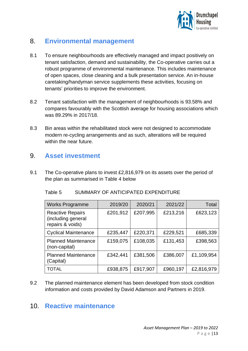![](_page_13_Picture_0.jpeg)

## 8. **Environmental management**

- 8.1 To ensure neighbourhoods are effectively managed and impact positively on tenant satisfaction, demand and sustainability, the Co-operative carries out a robust programme of environmental maintenance. This includes maintenance of open spaces, close cleaning and a bulk presentation service. An in-house caretaking/handyman service supplements these activities, focusing on tenants' priorities to improve the environment.
- 8.2 Tenant satisfaction with the management of neighbourhoods is 93.58% and compares favourably with the Scottish average for housing associations which was 89.29% in 2017/18.
- 8.3 Bin areas within the rehabilitated stock were not designed to accommodate modern re-cycling arrangements and as such, alterations will be required within the near future.

### 9. **Asset investment**

9.1 The Co-operative plans to invest £2,816,979 on its assets over the period of the plan as summarised in Table 4 below

### Table 5 SUMMARY OF ANTICIPATED EXPENDITURE

| <b>Works Programme</b>                                            | 2019/20  | 2020/21  | 2021/22  | Total      |
|-------------------------------------------------------------------|----------|----------|----------|------------|
| <b>Reactive Repairs</b><br>(including general<br>repairs & voids) | £201,912 | £207,995 | £213,216 | £623,123   |
| <b>Cyclical Maintenance</b>                                       | £235,447 | £220,371 | £229,521 | £685,339   |
| <b>Planned Maintenance</b><br>(non-capital)                       | £159,075 | £108,035 | £131,453 | £398,563   |
| <b>Planned Maintenance</b><br>(Capital)                           | £342,441 | £381,506 | £386,007 | £1,109,954 |
| <b>TOTAL</b>                                                      | £938,875 | £917,907 | £960,197 | £2,816,979 |

9.2 The planned maintenance element has been developed from stock condition information and costs provided by David Adamson and Partners in 2019.

## 10. **Reactive maintenance**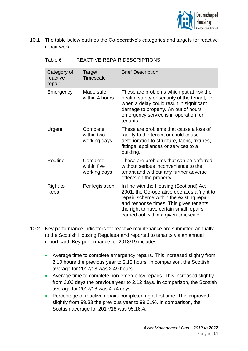![](_page_14_Picture_0.jpeg)

10.1 The table below outlines the Co-operative's categories and targets for reactive repair work.

| Table 6 |  | <b>REACTIVE REPAIR DESCRIPTIONS</b> |
|---------|--|-------------------------------------|
|         |  |                                     |

| Category of<br>reactive<br>repair | Target<br><b>Timescale</b>              | <b>Brief Description</b>                                                                                                                                                                                                                                          |
|-----------------------------------|-----------------------------------------|-------------------------------------------------------------------------------------------------------------------------------------------------------------------------------------------------------------------------------------------------------------------|
| Emergency                         | Made safe<br>within 4 hours             | These are problems which put at risk the<br>health, safety or security of the tenant, or<br>when a delay could result in significant<br>damage to property. An out of hours<br>emergency service is in operation for<br>tenants.                                  |
| Urgent                            | Complete<br>within two<br>working days  | These are problems that cause a loss of<br>facility to the tenant or could cause<br>deterioration to structure, fabric, fixtures,<br>fittings, appliances or services to a<br>building.                                                                           |
| Routine                           | Complete<br>within five<br>working days | These are problems that can be deferred<br>without serious inconvenience to the<br>tenant and without any further adverse<br>effects on the property.                                                                                                             |
| <b>Right to</b><br>Repair         | Per legislation                         | In line with the Housing (Scotland) Act<br>2001, the Co-operative operates a 'right to<br>repair' scheme within the existing repair<br>and response times. This gives tenants<br>the right to have certain small repairs<br>carried out within a given timescale. |

- 10.2 Key performance indicators for reactive maintenance are submitted annually to the Scottish Housing Regulator and reported to tenants via an annual report card. Key performance for 2018/19 includes:
	- Average time to complete emergency repairs. This increased slightly from 2.10 hours the previous year to 2.12 hours. In comparison, the Scottish average for 2017/18 was 2.49 hours.
	- Average time to complete non-emergency repairs. This increased slightly from 2.03 days the previous year to 2.12 days. In comparison, the Scottish average for 2017/18 was 4.74 days.
	- Percentage of reactive repairs completed right first time. This improved slightly from 99.33 the previous year to 99.61%. In comparison, the Scottish average for 2017/18 was 95.16%.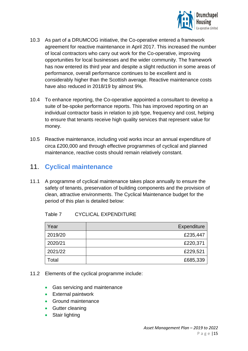![](_page_15_Picture_0.jpeg)

- 10.3 As part of a DRUMCOG initiative, the Co-operative entered a framework agreement for reactive maintenance in April 2017. This increased the number of local contractors who carry out work for the Co-operative, improving opportunities for local businesses and the wider community. The framework has now entered its third year and despite a slight reduction in some areas of performance, overall performance continues to be excellent and is considerably higher than the Scottish average. Reactive maintenance costs have also reduced in 2018/19 by almost 9%.
- 10.4 To enhance reporting, the Co-operative appointed a consultant to develop a suite of be-spoke performance reports. This has improved reporting on an individual contractor basis in relation to job type, frequency and cost, helping to ensure that tenants receive high quality services that represent value for money.
- 10.5 Reactive maintenance, including void works incur an annual expenditure of circa £200,000 and through effective programmes of cyclical and planned maintenance, reactive costs should remain relatively constant.

# 11. **Cyclical maintenance**

11.1 A programme of cyclical maintenance takes place annually to ensure the safety of tenants, preservation of building components and the provision of clean, attractive environments. The Cyclical Maintenance budget for the period of this plan is detailed below:

| Year    | Expenditure |
|---------|-------------|
| 2019/20 | £235,447    |
| 2020/21 | £220,371    |
| 2021/22 | £229,521    |
| Total   | £685,339    |

- 11.2 Elements of the cyclical programme include:
	- Gas servicing and maintenance
	- External paintwork
	- Ground maintenance
	- Gutter cleaning
	- Stair lighting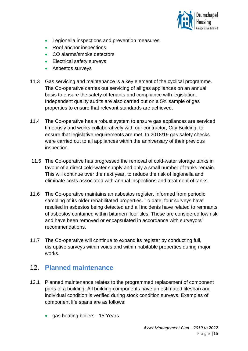![](_page_16_Picture_0.jpeg)

- Legionella inspections and prevention measures
- Roof anchor inspections
- CO alarms/smoke detectors
- Electrical safety surveys
- Asbestos surveys
- 11.3 Gas servicing and maintenance is a key element of the cyclical programme. The Co-operative carries out servicing of all gas appliances on an annual basis to ensure the safety of tenants and compliance with legislation. Independent quality audits are also carried out on a 5% sample of gas properties to ensure that relevant standards are achieved.
- 11.4 The Co-operative has a robust system to ensure gas appliances are serviced timeously and works collaboratively with our contractor, City Building, to ensure that legislative requirements are met. In 2018/19 gas safety checks were carried out to all appliances within the anniversary of their previous inspection.
- 11.5 The Co-operative has progressed the removal of cold-water storage tanks in favour of a direct cold-water supply and only a small number of tanks remain. This will continue over the next year, to reduce the risk of legionella and eliminate costs associated with annual inspections and treatment of tanks.
- 11.6 The Co-operative maintains an asbestos register, informed from periodic sampling of its older rehabilitated properties. To date, four surveys have resulted in asbestos being detected and all incidents have related to remnants of asbestos contained within bitumen floor tiles. These are considered low risk and have been removed or encapsulated in accordance with surveyors' recommendations.
- 11.7 The Co-operative will continue to expand its register by conducting full, disruptive surveys within voids and within habitable properties during major works.

# 12. **Planned maintenance**

- 12.1 Planned maintenance relates to the programmed replacement of component parts of a building. All building components have an estimated lifespan and individual condition is verified during stock condition surveys. Examples of component life spans are as follows:
	- gas heating boilers 15 Years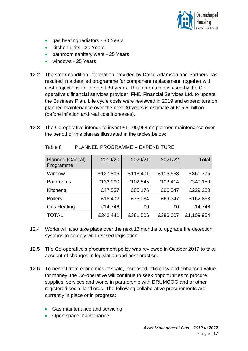![](_page_17_Picture_0.jpeg)

- gas heating radiators 30 Years
- kitchen units 20 Years
- bathroom sanitary ware 25 Years
- windows 25 Years
- 12.2 The stock condition information provided by David Adamson and Partners has resulted in a detailed programme for component replacement, together with cost projections for the next 30-years. This information is used by the Cooperative's financial services provider, FMD Financial Services Ltd. to update the Business Plan. Life cycle costs were reviewed in 2019 and expenditure on planned maintenance over the next 30 years is estimate at £15.5 million (before inflation and real cost increases).
- 12.3 The Co-operative intends to invest £1,109,954 on planned maintenance over the period of this plan as illustrated in the tables below:

| Planned (Capital)<br>Programme | 2019/20  | 2020/21  | 2021/22  | Total      |
|--------------------------------|----------|----------|----------|------------|
| Window                         | £127,806 | £118,401 | £115,568 | £361,775   |
| <b>Bathrooms</b>               | £133,900 | £102,845 | £103,414 | £340,159   |
| <b>Kitchens</b>                | £47,557  | £85,176  | £96,547  | £229,280   |
| <b>Boilers</b>                 | £18,432  | £75,084  | £69,347  | £162,863   |
| <b>Gas Heating</b>             | £14,746  | £0       | £0       | £14,746    |
| <b>TOTAL</b>                   | £342,441 | £381,506 | £386,007 | £1,109,954 |

Table 8 PLANNED PROGRAMME – EXPENDITURE

- 12.4 Works will also take place over the next 18 months to upgrade fire detection systems to comply with revised legislation.
- 12.5 The Co-operative's procurement policy was reviewed in October 2017 to take account of changes in legislation and best practice.
- 12.6 To benefit from economies of scale, increased efficiency and enhanced value for money, the Co-operative will continue to seek opportunities to procure supplies, services and works in partnership with DRUMCOG and or other registered social landlords. The following collaborative procurements are currently in place or in progress:
	- Gas maintenance and servicing
	- Open space maintenance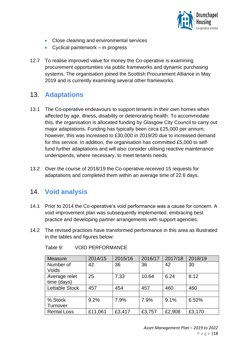![](_page_18_Picture_0.jpeg)

- Close cleaning and environmental services
- Cyclical painterwork in progress
- 12.7 To realise improved value for money the Co-operative is examining procurement opportunities via public frameworks and dynamic purchasing systems. The organisation joined the Scottish Procurement Alliance in May 2019 and is currently examining several other frameworks.

## 13. **Adaptations**

- 13.1 The Co-operative endeavours to support tenants in their own homes when affected by age, illness, disability or deteriorating health. To accommodate this, the organisation is allocated funding by Glasgow City Council to carry out major adaptations. Funding has typically been circa £25,000 per annum; however, this was increased to £30,000 in 2019/20 due to increased demand for this service. In addition, the organisation has committed £5,000 to selffund further adaptations and will also consider utilising reactive maintenance underspends, where necessary, to meet tenants needs.
- 13.2 Over the course of 2018/19 the Co-operative received 15 requests for adaptations and completed them within an average time of 22.6 days.

# 14. **Void analysis**

- 14.1 Prior to 2014 the Co-operative's void performance was a cause for concern. A void improvement plan was subsequently implemented, embracing best practice and developing partner arrangements with support agencies.
- 14.2 The revised practices have transformed performance in this area as illustrated in the tables and figures below:

| Measure               | 2014/15 | 2015/16 | 2016/17 | 2017/18 | 2018/19 |
|-----------------------|---------|---------|---------|---------|---------|
| Number of             | 42      | 36      | 36      | 42      | 30      |
| Voids                 |         |         |         |         |         |
| Average relet         | 25      | 7.33    | 10.64   | 6.24    | 8.12    |
| time (days)           |         |         |         |         |         |
| <b>Lettable Stock</b> | 457     | 454     | 457     | 460     | 460     |
|                       |         |         |         |         |         |
| % Stock               | 9.2%    | 7.9%    | 7.9%    | 9.1%    | 6.52%   |
| Turnover              |         |         |         |         |         |
| <b>Rental Loss</b>    | £11,061 | £3,417  | £3,757  | £2,908  | £3,170  |

| Table 9: | <b>VOID PERFORMANCE</b> |
|----------|-------------------------|
|----------|-------------------------|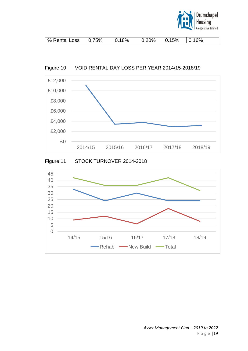![](_page_19_Picture_0.jpeg)

| $\frac{1}{6}$ Rental Loss $\frac{1}{6}$ 0.75% | $ 0.18\%$ | $\vert 0.20\% \vert 0.15\% \vert 0.16\% \vert$ |  |
|-----------------------------------------------|-----------|------------------------------------------------|--|
|                                               |           |                                                |  |

### Figure 10 VOID RENTAL DAY LOSS PER YEAR 2014/15-2018/19

![](_page_19_Figure_3.jpeg)

![](_page_19_Figure_4.jpeg)

![](_page_19_Figure_5.jpeg)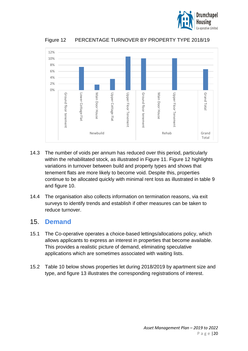![](_page_20_Picture_0.jpeg)

Figure 12 PERCENTAGE TURNOVER BY PROPERTY TYPE 2018/19

![](_page_20_Figure_2.jpeg)

- 14.3 The number of voids per annum has reduced over this period, particularly within the rehabilitated stock, as illustrated in Figure 11. Figure 12 highlights variations in turnover between build and property types and shows that tenement flats are more likely to become void. Despite this, properties continue to be allocated quickly with minimal rent loss as illustrated in table 9 and figure 10.
- 14.4 The organisation also collects information on termination reasons, via exit surveys to identify trends and establish if other measures can be taken to reduce turnover.

### 15. **Demand**

- 15.1 The Co-operative operates a choice-based lettings/allocations policy, which allows applicants to express an interest in properties that become available. This provides a realistic picture of demand, eliminating speculative applications which are sometimes associated with waiting lists.
- 15.2 Table 10 below shows properties let during 2018/2019 by apartment size and type, and figure 13 illustrates the corresponding registrations of interest.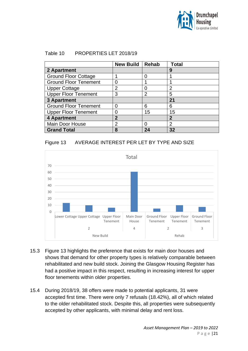![](_page_21_Picture_0.jpeg)

#### Table 10 PROPERTIES LET 2018/19

|                              | <b>New Build</b> | Rehab          | <b>Total</b>   |
|------------------------------|------------------|----------------|----------------|
| 2 Apartment                  |                  |                | 9              |
| <b>Ground Floor Cottage</b>  |                  | O              |                |
| <b>Ground Floor Tenement</b> | 0                |                |                |
| <b>Upper Cottage</b>         | 2                | O              | $\overline{2}$ |
| <b>Upper Floor Tenement</b>  | 3                | $\overline{2}$ | 5              |
| 3 Apartment                  |                  |                | 2 <sup>1</sup> |
| <b>Ground Floor Tenement</b> |                  | 6              | 6              |
| <b>Upper Floor Tenement</b>  |                  | 15             | 15             |
| 4 Apartment                  | $\overline{2}$   |                | $\overline{2}$ |
| <b>Main Door House</b>       | $\overline{2}$   |                | 2              |
| <b>Grand Total</b>           | 8                | 24             | 32             |

#### Figure 13 AVERAGE INTEREST PER LET BY TYPE AND SIZE

![](_page_21_Figure_4.jpeg)

- 15.3 Figure 13 highlights the preference that exists for main door houses and shows that demand for other property types is relatively comparable between rehabilitated and new build stock. Joining the Glasgow Housing Register has had a positive impact in this respect, resulting in increasing interest for upper floor tenements within older properties.
- 15.4 During 2018/19, 38 offers were made to potential applicants, 31 were accepted first time. There were only 7 refusals (18.42%), all of which related to the older rehabilitated stock. Despite this, all properties were subsequently accepted by other applicants, with minimal delay and rent loss.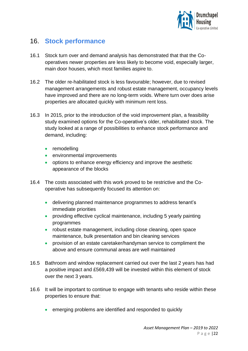![](_page_22_Picture_0.jpeg)

## 16. **Stock performance**

- 16.1 Stock turn over and demand analysis has demonstrated that that the Cooperatives newer properties are less likely to become void, especially larger, main door houses, which most families aspire to.
- 16.2 The older re-habilitated stock is less favourable; however, due to revised management arrangements and robust estate management, occupancy levels have improved and there are no long-term voids. Where turn over does arise properties are allocated quickly with minimum rent loss.
- 16.3 In 2015, prior to the introduction of the void improvement plan, a feasibility study examined options for the Co-operative's older, rehabilitated stock. The study looked at a range of possibilities to enhance stock performance and demand, including:
	- remodelling
	- environmental improvements
	- options to enhance energy efficiency and improve the aesthetic appearance of the blocks
- 16.4 The costs associated with this work proved to be restrictive and the Cooperative has subsequently focused its attention on:
	- delivering planned maintenance programmes to address tenant's immediate priorities
	- providing effective cyclical maintenance, including 5 yearly painting programmes
	- robust estate management, including close cleaning, open space maintenance, bulk presentation and bin cleaning services
	- provision of an estate caretaker/handyman service to compliment the above and ensure communal areas are well maintained
- 16.5 Bathroom and window replacement carried out over the last 2 years has had a positive impact and £569,439 will be invested within this element of stock over the next 3 years.
- 16.6 It will be important to continue to engage with tenants who reside within these properties to ensure that:
	- emerging problems are identified and responded to quickly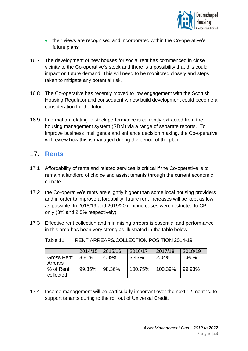![](_page_23_Picture_0.jpeg)

- their views are recognised and incorporated within the Co-operative's future plans
- 16.7 The development of new houses for social rent has commenced in close vicinity to the Co-operative's stock and there is a possibility that this could impact on future demand. This will need to be monitored closely and steps taken to mitigate any potential risk.
- 16.8 The Co-operative has recently moved to low engagement with the Scottish Housing Regulator and consequently, new build development could become a consideration for the future.
- 16.9 Information relating to stock performance is currently extracted from the housing management system (SDM) via a range of separate reports. To improve business intelligence and enhance decision making, the Co-operative will review how this is managed during the period of the plan.

### 17. **Rents**

- 17.1 Affordability of rents and related services is critical if the Co-operative is to remain a landlord of choice and assist tenants through the current economic climate.
- 17.2 the Co-operative's rents are slightly higher than some local housing providers and in order to improve affordability, future rent increases will be kept as low as possible. In 2018/19 and 2019/20 rent increases were restricted to CPI only (3% and 2.5% respectively).
- 17.3 Effective rent collection and minimising arrears is essential and performance in this area has been very strong as illustrated in the table below:

|                   | 2014/15 | 2015/16 | 2016/17 | 2017/18 | 2018/19 |
|-------------------|---------|---------|---------|---------|---------|
| <b>Gross Rent</b> | 3.81%   | 4.89%   | 3.43%   | 2.04%   | 1.96%   |
| Arrears           |         |         |         |         |         |
| % of Rent         | 99.35%  | 98.36%  | 100.75% | 100.39% | 99.93%  |
| collected         |         |         |         |         |         |

Table 11 RENT ARREARS/COLLECTION POSITION 2014-19

17.4 Income management will be particularly important over the next 12 months, to support tenants during to the roll out of Universal Credit.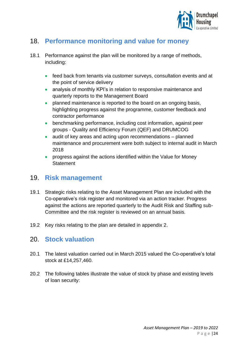![](_page_24_Picture_0.jpeg)

# 18. **Performance monitoring and value for money**

- 18.1 Performance against the plan will be monitored by a range of methods, including:
	- feed back from tenants via customer surveys, consultation events and at the point of service delivery
	- analysis of monthly KPI's in relation to responsive maintenance and quarterly reports to the Management Board
	- planned maintenance is reported to the board on an ongoing basis, highlighting progress against the programme, customer feedback and contractor performance
	- benchmarking performance, including cost information, against peer groups - Quality and Efficiency Forum (QEF) and DRUMCOG
	- audit of key areas and acting upon recommendations planned maintenance and procurement were both subject to internal audit in March 2018
	- progress against the actions identified within the Value for Money **Statement**

### 19. **Risk management**

- 19.1 Strategic risks relating to the Asset Management Plan are included with the Co-operative's risk register and monitored via an action tracker. Progress against the actions are reported quarterly to the Audit Risk and Staffing sub-Committee and the risk register is reviewed on an annual basis.
- 19.2 Key risks relating to the plan are detailed in appendix 2.

### 20. **Stock valuation**

- 20.1 The latest valuation carried out in March 2015 valued the Co-operative's total stock at £14,257,460.
- 20.2 The following tables illustrate the value of stock by phase and existing levels of loan security: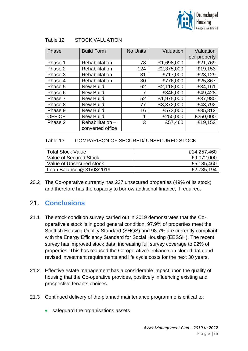![](_page_25_Picture_0.jpeg)

| Phase         | <b>Build Form</b> | No Units | Valuation  | Valuation    |
|---------------|-------------------|----------|------------|--------------|
|               |                   |          |            | per property |
| Phase 1       | Rehabilitation    | 78       | £1,698,000 | £21,769      |
| Phase 2       | Rehabilitation    | 124      | £2,375,000 | £19,153      |
| Phase 3       | Rehabilitation    | 31       | £717,000   | £23,129      |
| Phase 4       | Rehabilitation    | 30       | £776,000   | £25,867      |
| Phase 5       | <b>New Build</b>  | 62       | £2,118,000 | £34,161      |
| Phase 6       | <b>New Build</b>  | 7        | £346,000   | £49,428      |
| Phase 7       | <b>New Build</b>  | 52       | £1,975,000 | £37,980      |
| Phase 8       | <b>New Build</b>  | 77       | £3,372,000 | £43,792      |
| Phase 9       | <b>New Build</b>  | 16       | £573,000   | £35,812      |
| <b>OFFICE</b> | <b>New Build</b>  |          | £250,000   | £250,000     |
| Phase 2       | Rehabilitation -  | 3        | £57,460    | £19,153      |
|               | converted office  |          |            |              |

### Table 12 STOCK VALUATION

#### Table 13 COMPARISON OF SECURED/ UNSECURED STOCK

| <b>Total Stock Value</b>  | £14,257,460 |
|---------------------------|-------------|
| Value of Secured Stock    | £9,072,000  |
| Value of Unsecured stock  | £5,185,460  |
| Loan Balance @ 31/03/2019 | £2,735,194  |

20.2 The Co-operative currently has 237 unsecured properties (49% of its stock) and therefore has the capacity to borrow additional finance, if required.

## 21. **Conclusions**

- 21.1 The stock condition survey carried out in 2019 demonstrates that the Cooperative's stock is in good general condition. 97.9% of properties meet the Scottish Housing Quality Standard (SHQS) and 98.7% are currently compliant with the Energy Efficiency Standard for Social Housing (EESSH). The recent survey has improved stock data, increasing full survey coverage to 92% of properties. This has reduced the Co-operative's reliance on cloned data and revised investment requirements and life cycle costs for the next 30 years.
- 21.2 Effective estate management has a considerable impact upon the quality of housing that the Co-operative provides, positively influencing existing and prospective tenants choices.
- 21.3 Continued delivery of the planned maintenance programme is critical to:
	- safeguard the organisations assets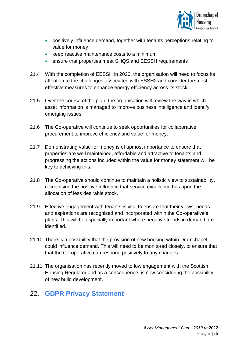![](_page_26_Picture_0.jpeg)

- positively influence demand, together with tenants perceptions relating to value for money
- keep reactive maintenance costs to a minimum
- ensure that properties meet SHQS and EESSH requirements
- 21.4 With the completion of EESSH in 2020, the organisation will need to focus its attention to the challenges associated with ESSH2 and consider the most effective measures to enhance energy efficiency across its stock.
- 21.5 Over the course of the plan, the organisation will review the way in which asset information is managed to improve business intelligence and identify emerging issues.
- 21.6 The Co-operative will continue to seek opportunities for collaborative procurement to improve efficiency and value for money.
- 21.7 Demonstrating value for money is of upmost importance to ensure that properties are well maintained, affordable and attractive to tenants and progressing the actions included within the value for money statement will be key to achieving this.
- 21.8 The Co-operative should continue to maintain a holistic view to sustainability, recognising the positive influence that service excellence has upon the allocation of less desirable stock.
- 21.9 Effective engagement with tenants is vital to ensure that their views, needs and aspirations are recognised and incorporated within the Co-operative's plans. This will be especially important where negative trends in demand are identified.
- 21.10 There is a possibility that the provision of new housing within Drumchapel could influence demand. This will need to be monitored closely, to ensure that that the Co-operative can respond positively to any changes.
- 21.11 The organisation has recently moved to low engagement with the Scottish Housing Regulator and as a consequence, is now considering the possibility of new build development.

# 22. **GDPR Privacy Statement**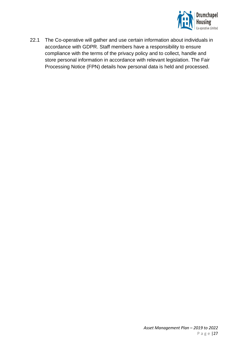![](_page_27_Picture_0.jpeg)

22.1 The Co-operative will gather and use certain information about individuals in accordance with GDPR. Staff members have a responsibility to ensure compliance with the terms of the privacy policy and to collect, handle and store personal information in accordance with relevant legislation. The Fair Processing Notice (FPN) details how personal data is held and processed.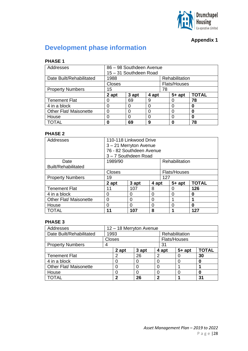![](_page_28_Picture_0.jpeg)

### **Appendix 1**

# **Development phase information**

### **PHASE 1**

| Addresses                |                 | 86 - 98 Southdeen Avenue |       |              |                |              |  |  |  |
|--------------------------|-----------------|--------------------------|-------|--------------|----------------|--------------|--|--|--|
|                          |                 | 15 - 31 Southdeen Road   |       |              |                |              |  |  |  |
| Date Built/Rehabilitated | 1988            |                          |       |              | Rehabilitation |              |  |  |  |
|                          | Closes          |                          |       | Flats/Houses |                |              |  |  |  |
| <b>Property Numbers</b>  | 15 <sub>2</sub> |                          |       | 78           |                |              |  |  |  |
|                          | 2 apt           | 3 apt                    | 4 apt |              | $5+$ apt       | <b>TOTAL</b> |  |  |  |
| <b>Tenement Flat</b>     |                 | 69                       | 9     |              |                | 78           |  |  |  |
| 4 in a block             |                 | 0                        |       |              |                |              |  |  |  |
| Other Flat/ Maisonette   |                 | 0                        |       |              |                |              |  |  |  |
| House                    |                 | 0                        |       |              |                |              |  |  |  |
| OTAL                     |                 | 69                       | 9     |              | Ω              | 78           |  |  |  |

### **PHASE 2**

| Addresses                  | 110-118 Linkwood Drive<br>3-21 Merryton Avenue<br>76 - 82 Southdeen Avenue<br>3-7 Southdeen Road |        |       |              |                |              |  |  |
|----------------------------|--------------------------------------------------------------------------------------------------|--------|-------|--------------|----------------|--------------|--|--|
| Date                       | 1989/90                                                                                          |        |       |              | Rehabilitation |              |  |  |
| <b>Built/Rehabilitated</b> |                                                                                                  |        |       |              |                |              |  |  |
|                            | Closes                                                                                           |        |       | Flats/Houses |                |              |  |  |
| <b>Property Numbers</b>    | 19                                                                                               |        |       | 127          |                |              |  |  |
|                            | 2 apt                                                                                            | 3 apt  | 4 apt |              | $5+$ apt       | <b>TOTAL</b> |  |  |
| <b>Tenement Flat</b>       | 11                                                                                               | 107    | 8     |              | O              | 126          |  |  |
| 4 in a block               | 0                                                                                                | 0      | 0     |              | 0              | O            |  |  |
| Other Flat/ Maisonette     | 0                                                                                                | 0<br>0 |       |              |                |              |  |  |
| House                      | 0                                                                                                | 0      | 0     |              | 0              | 0            |  |  |
| <b>TOTAL</b>               | 11                                                                                               | 107    | 8     |              |                | 127          |  |  |

#### **PHASE 3**

| Addresses                |   | 12 - 18 Merryton Avenue |       |   |                     |                |              |  |  |
|--------------------------|---|-------------------------|-------|---|---------------------|----------------|--------------|--|--|
| Date Built/Rehabilitated |   | 1993                    |       |   |                     | Rehabilitation |              |  |  |
|                          |   | <b>Closes</b>           |       |   | <b>Flats/Houses</b> |                |              |  |  |
| <b>Property Numbers</b>  | 4 |                         |       |   | 31                  |                |              |  |  |
|                          |   | 2 apt                   | 3 apt |   | 4 apt               | $5+$ apt       | <b>TOTAL</b> |  |  |
| <b>Tenement Flat</b>     |   | 2                       | 26    | 2 |                     |                | 30           |  |  |
| 4 in a block             |   |                         |       |   |                     |                |              |  |  |
| Other Flat/ Maisonette   |   |                         |       |   |                     |                |              |  |  |
| House                    |   |                         |       |   |                     |                |              |  |  |
| <b>TOTAL</b>             |   | າ                       | 26    | າ |                     |                | 31           |  |  |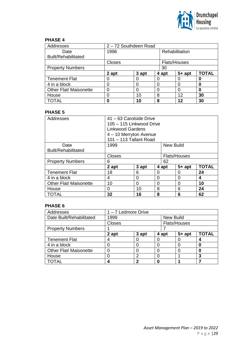![](_page_29_Picture_0.jpeg)

### **PHASE 4**

| Addresses                  | 2-72 Southdeen Road |              |       |                |              |  |  |  |
|----------------------------|---------------------|--------------|-------|----------------|--------------|--|--|--|
| Date                       | 1996                |              |       | Rehabilitation |              |  |  |  |
| <b>Built/Rehabilitated</b> |                     |              |       |                |              |  |  |  |
|                            | <b>Closes</b>       | Flats/Houses |       |                |              |  |  |  |
| <b>Property Numbers</b>    |                     | 30           |       |                |              |  |  |  |
|                            | 2 apt               | 3 apt        | 4 apt | $5+$ apt       | <b>TOTAL</b> |  |  |  |
| <b>Tenement Flat</b>       |                     |              |       |                | 0            |  |  |  |
| 4 in a block               |                     |              |       |                | 0            |  |  |  |
| Other Flat/ Maisonette     |                     |              |       | 0              | 0            |  |  |  |
| House                      |                     | 10           | 8     | 12             | 30           |  |  |  |
| <b>TOTAL</b>               |                     | 10           | 8     | 12             | 30           |  |  |  |

#### **PHASE 5**

| Addresses                  | 41 - 63 Carolside Drive<br>105 - 115 Linkwood Drive<br>Linkwood Gardens<br>4 - 10 Merryton Avenue<br>101 - 113 Tallant Road |       |   |                     |          |              |  |
|----------------------------|-----------------------------------------------------------------------------------------------------------------------------|-------|---|---------------------|----------|--------------|--|
| Date                       | 1999                                                                                                                        |       |   | <b>New Build</b>    |          |              |  |
| <b>Built/Rehabilitated</b> |                                                                                                                             |       |   |                     |          |              |  |
|                            | Closes                                                                                                                      |       |   | <b>Flats/Houses</b> |          |              |  |
| <b>Property Numbers</b>    | 6                                                                                                                           |       |   | 62                  |          |              |  |
|                            | 2 apt                                                                                                                       | 3 apt |   | 4 apt               | $5+$ apt | <b>TOTAL</b> |  |
| <b>Tenement Flat</b>       | 18                                                                                                                          | 6     | 0 |                     | O        | 24           |  |
| 4 in a block               | 4                                                                                                                           | 0     | 0 |                     | 0        | 4            |  |
| Other Flat/ Maisonette     | 10                                                                                                                          |       | 0 | 10                  |          |              |  |
| House                      | 0                                                                                                                           | 10    | 8 |                     | 6        | 24           |  |
| <b>TOTAL</b>               | 32                                                                                                                          | 16    | 8 |                     | 6        | 62           |  |

#### **PHASE 6**

| Addresses                     | 1 - 7 Ledmore Drive |       |  |                     |          |              |  |
|-------------------------------|---------------------|-------|--|---------------------|----------|--------------|--|
| Date Built/Rehabilitated      | 1999                |       |  | <b>New Build</b>    |          |              |  |
|                               | Closes              |       |  | <b>Flats/Houses</b> |          |              |  |
| <b>Property Numbers</b>       |                     |       |  |                     |          |              |  |
|                               | 2 apt               | 3 apt |  | 4 apt               | $5+$ apt | <b>TOTAL</b> |  |
| <b>Tenement Flat</b>          |                     |       |  |                     |          |              |  |
| 4 in a block                  |                     |       |  |                     |          |              |  |
| <b>Other Flat/ Maisonette</b> |                     |       |  |                     |          |              |  |
| House                         |                     | 2     |  |                     |          | 3            |  |
| <b>DTAL</b>                   |                     | 2     |  |                     |          |              |  |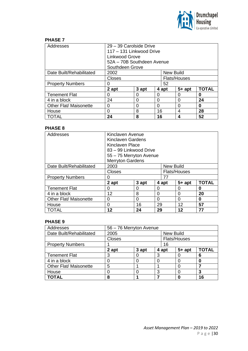![](_page_30_Picture_0.jpeg)

#### **PHASE 7**

| Addresses                | 29 - 39 Carolside Drive<br>117 - 131 Linkwood Drive<br>Linkwood Grove<br>52A - 70B Southdeen Avenue<br>Southdeen Grove |                     |          |           |          |              |  |  |
|--------------------------|------------------------------------------------------------------------------------------------------------------------|---------------------|----------|-----------|----------|--------------|--|--|
| Date Built/Rehabilitated | 2002                                                                                                                   |                     |          | New Build |          |              |  |  |
|                          | <b>Closes</b>                                                                                                          | <b>Flats/Houses</b> |          |           |          |              |  |  |
| <b>Property Numbers</b>  | 0                                                                                                                      |                     |          | 52        |          |              |  |  |
|                          | 2 apt                                                                                                                  | 3 apt               |          | 4 apt     | $5+$ apt | <b>TOTAL</b> |  |  |
| <b>Tenement Flat</b>     | 0                                                                                                                      | 0                   | ∩        |           | 0        | O            |  |  |
| 4 in a block             | 24                                                                                                                     | 0                   | $\Omega$ |           | 0        | 24           |  |  |
| Other Flat/ Maisonette   | 0                                                                                                                      | $\Omega$<br>0       |          |           | 0        | 0            |  |  |
| House                    | O                                                                                                                      | 8                   | 16       | 4         | 28       |              |  |  |
| TOTAL                    | 24                                                                                                                     | 8                   | 16       |           | 4        | 52           |  |  |

#### **PHASE 8**

| Addresses                | Kinclaven Avenue        |       |    |                  |                     |              |
|--------------------------|-------------------------|-------|----|------------------|---------------------|--------------|
|                          | Kinclaven Gardens       |       |    |                  |                     |              |
|                          | Kinclaven Place         |       |    |                  |                     |              |
|                          | 83 - 99 Linkwood Drive  |       |    |                  |                     |              |
|                          | 55 - 75 Merryton Avenue |       |    |                  |                     |              |
|                          | <b>Merryton Gardens</b> |       |    |                  |                     |              |
| Date Built/Rehabilitated | 2003                    |       |    | <b>New Build</b> |                     |              |
|                          | <b>Closes</b>           |       |    |                  | <b>Flats/Houses</b> |              |
| <b>Property Numbers</b>  | 0                       |       |    | 77               |                     |              |
|                          | 2 apt                   | 3 apt |    | 4 apt            | $5+$ apt            | <b>TOTAL</b> |
| <b>Tenement Flat</b>     | 0                       | 0     | 0  |                  | 0                   | 0            |
| 4 in a block             | 12                      | 8     | 0  |                  | 0                   | 20           |
| Other Flat/ Maisonette   | 0                       | 0     | 0  |                  | 0                   | 0            |
| House                    | 0                       | 16    | 29 |                  | 12                  | 57           |
| TOTAL                    | 12                      | 24    | 29 |                  | 12                  | 77           |

#### **PHASE 9**

| Addresses                | 56 - 76 Merryton Avenue |       |   |                     |          |              |
|--------------------------|-------------------------|-------|---|---------------------|----------|--------------|
| Date Built/Rehabilitated | 2005                    |       |   | <b>New Build</b>    |          |              |
|                          | <b>Closes</b>           |       |   | <b>Flats/Houses</b> |          |              |
| <b>Property Numbers</b>  |                         |       |   | 16                  |          |              |
|                          | 2 apt                   | 3 apt |   | 4 apt               | $5+$ apt | <b>TOTAL</b> |
| <b>Tenement Flat</b>     | 3                       |       | ⌒ |                     |          | 6            |
| 4 in a block             |                         |       |   |                     |          |              |
| Other Flat/ Maisonette   | 5                       |       |   |                     |          |              |
| House                    |                         |       | 3 |                     |          | 3            |
| <b>TOTAL</b>             | 8                       |       |   |                     |          | 16           |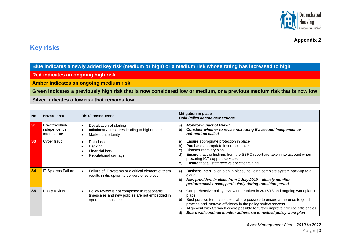![](_page_31_Picture_0.jpeg)

### **Appendix 2**

# **Key risks**

**Blue indicates a newly added key risk (medium or high) or a medium risk whose rating has increased to high**

**Red indicates an ongoing high risk**

**Amber indicates an ongoing medium risk**

**Green indicates a previously high risk that is now considered low or medium, or a previous medium risk that is now low**

**Silver indicates a low risk that remains low**

| <b>No</b>      | <b>Hazard area</b>                               | <b>Risk/consequence</b>                                                                                                                | Mitigation in place -<br><b>Bold italics denote new actions</b>                                                                                                                                                                                                                                                                                                                                              |  |
|----------------|--------------------------------------------------|----------------------------------------------------------------------------------------------------------------------------------------|--------------------------------------------------------------------------------------------------------------------------------------------------------------------------------------------------------------------------------------------------------------------------------------------------------------------------------------------------------------------------------------------------------------|--|
| S <sub>1</sub> | Brexit/Scottish<br>independence<br>Interest rate | Devaluation of sterling<br>$\bullet$<br>Inflationary pressures leading to higher costs<br>$\bullet$<br>Market uncertainty<br>$\bullet$ | <b>Monitor impact of Brexit</b><br>a)<br>Consider whether to revise risk rating if a second independence<br>$\mathsf{b}$<br>referendum called                                                                                                                                                                                                                                                                |  |
| <b>S3</b>      | Cyber fraud                                      | Data loss<br>$\bullet$<br>Hacking<br>Financial loss<br>Reputational damage                                                             | Ensure appropriate protection in place<br>a<br>Purchase appropriate insurance cover<br>$\mathbf{b}$<br>Disaster recovery plan<br>C)<br>Ensure that the findings from the SBRC report are taken into account when<br>ď<br>procuring ICT support services<br>Ensure that all staff receive specific training<br>e)                                                                                             |  |
| $\mathsf{S}4$  | IT Systems Failure                               | Failure of IT systems or a critical element of them<br>results in disruption to delivery of services                                   | Business interruption plan in place, including complete system back-up to a<br>a)<br>cloud<br>New providers in place from 1 July 2019 – closely monitor<br>b)<br>performance/service, particularly during transition period                                                                                                                                                                                  |  |
| S <sub>5</sub> | Policy review                                    | Policy review is not completed in reasonable<br>$\bullet$<br>timescales and new policies are not embedded in<br>operational business   | Comprehensive policy review undertaken in 2017/18 and ongoing work plan in<br>a)<br>place<br>Best practice templates used where possible to ensure adherence to good<br>b)<br>practice and improve efficiency in the policy review process<br>Alignment with Cernach where possible to further improve process efficiencies<br>C)<br>Board will continue monitor adherence to revised policy work plan<br>d) |  |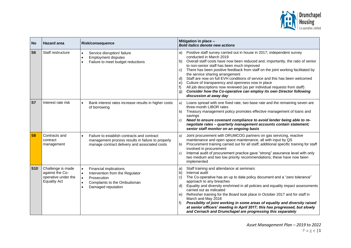![](_page_32_Picture_0.jpeg)

| <b>No</b>  | <b>Hazard</b> area                                                                 | <b>Risk/consequence</b>                                                                                                                                                                        | Mitigation in place -<br><b>Bold italics denote new actions</b>                                                                                                                                                                                                                                                                                                                                                                                                                                                                                                                                                                                                                                               |  |  |  |
|------------|------------------------------------------------------------------------------------|------------------------------------------------------------------------------------------------------------------------------------------------------------------------------------------------|---------------------------------------------------------------------------------------------------------------------------------------------------------------------------------------------------------------------------------------------------------------------------------------------------------------------------------------------------------------------------------------------------------------------------------------------------------------------------------------------------------------------------------------------------------------------------------------------------------------------------------------------------------------------------------------------------------------|--|--|--|
| <b>S6</b>  | Staff restructure                                                                  | Service disruption/ failure<br>$\bullet$<br><b>Employment disputes</b><br>$\bullet$<br>Failure to meet budget reductions<br>$\bullet$                                                          | Positive staff survey carried out in house in 2017; independent survey<br>a)<br>conducted in March 2019<br>Overall staff costs have now been reduced and, importantly, the ratio of senior<br>b)<br>to non-senior staff has been much improved<br>There has been positive feedback from staff on the joint working facilitated by<br>C)<br>the service sharing arrangement<br>Staff are now on full EVH conditions of service and this has been welcomed<br>d)<br>Culture of transparency and openness now in place<br>e)<br>All job descriptions now reviewed (as per individual requests from staff)<br>Consider how the Co-operative can employ its own Director following<br>g)<br>discussion at away day |  |  |  |
| S7         | Interest rate risk                                                                 | $\bullet$<br>Bank interest rates increase results in higher costs<br>of borrowing                                                                                                              | Loans spread with one fixed rate, two base rate and the remaining seven are<br>a)<br>three-month LIBOR rates<br>Treasury management policy promotes effective management of loans and<br>b)<br>savings<br>Need to ensure covenant compliance to avoid lender being able to re-<br>c)<br>negotiate rates - quarterly management accounts contain statement;<br>senior staff monitor on an ongoing basis                                                                                                                                                                                                                                                                                                        |  |  |  |
| <b>S8</b>  | Contracts and<br>contract<br>management                                            | Failure to establish contracts and contract<br>$\bullet$<br>management process results in failure to properly<br>manage contract delivery and associated costs                                 | Joint procurement with DRUMCOG partners on gas servicing, reactive<br>a)<br>maintenance and open space maintenance, all with input by QS<br>Procurement training carried out for all staff; additional specific training for staff<br>b)<br>involved in procurement<br>Internal audit of procurement practice gave "strong" assurance level with only<br>c)<br>two medium and two low priority recommendations; these have now been<br>implemented                                                                                                                                                                                                                                                            |  |  |  |
| <b>S10</b> | Challenge is made<br>against the Co-<br>operative under the<br><b>Equality Act</b> | Financial implications<br>$\bullet$<br>Intervention from the Regulator<br>$\bullet$<br>Prosecution<br>$\bullet$<br>Complaints to the Ombudsman<br>$\bullet$<br>Damaged reputation<br>$\bullet$ | Staff training and attendance at seminars<br>a)<br>b)<br>Internal audit<br>The Co-operative has an up to date policy document and a "zero tolerance"<br>c)<br>approach to any breaches<br>Equality and diversity enshrined in all policies and equality impact assessments<br>d)<br>carried out as indicated<br>Refresher training for the Board took place in October 2017 and for staff in<br>e)<br>March and May 2018<br>Possibility of joint working in some areas of equality and diversity raised<br>at senior officers' meeting in April 2017; this has progressed, but slowly<br>and Cernach and Drumchapel are progressing this separately                                                           |  |  |  |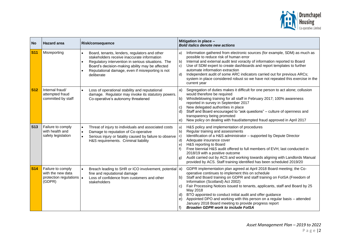![](_page_33_Picture_0.jpeg)

| <b>No</b>  | <b>Hazard area</b>                                                            | Risk/consequence                                                                                                                                                                                                                                                                                  | Mitigation in place -<br><b>Bold italics denote new actions</b>                                                                                                                                                                                                                                                                                                                                                                                                                                                                                                                                              |
|------------|-------------------------------------------------------------------------------|---------------------------------------------------------------------------------------------------------------------------------------------------------------------------------------------------------------------------------------------------------------------------------------------------|--------------------------------------------------------------------------------------------------------------------------------------------------------------------------------------------------------------------------------------------------------------------------------------------------------------------------------------------------------------------------------------------------------------------------------------------------------------------------------------------------------------------------------------------------------------------------------------------------------------|
| <b>S11</b> | Misreporting                                                                  | Board, tenants, lenders, regulators and other<br>$\bullet$<br>stakeholders receive inaccurate information<br>Regulatory intervention in serious situations. The<br>$\bullet$<br>Board's decision-making ability may be affected<br>Reputational damage, even if misreporting is not<br>deliberate | Information gathered from electronic sources (for example, SDM) as much as<br>a)<br>possible to reduce risk of human error<br>Internal and external audit test voracity of information reported to Board<br>b)<br>Use of SDM expert to create dashboards and report templates to further<br>$\mathsf{c}$<br>automate information extraction<br>Independent audit of some ARC indicators carried out for previous ARCs;<br>d)<br>system in place considered robust so we have not repeated this exercise in the<br>current year                                                                               |
| <b>S12</b> | Internal fraud/<br>attempted fraud<br>committed by staff                      | Loss of operational stability and reputational<br>damage. Regulator may invoke its statutory powers.<br>Co-operative's autonomy threatened                                                                                                                                                        | Segregation of duties makes it difficult for one person to act alone; collusion<br>a)<br>would therefore be required<br>Whistleblowing training for all staff in February 2017; 100% awareness<br>b)<br>reported in survey in September 2017<br>New delegated authorities in place<br>C)<br>Staff and Board encouraged to "ask questions" - culture of openness and<br>d)<br>transparency being promoted<br>New policy on dealing with fraud/attempted fraud approved in April 2017<br>e)                                                                                                                    |
| <b>S13</b> | Failure to comply<br>with health and<br>safety legislation                    | Threat of injury to individuals and associated costs<br>$\bullet$<br>Damage to reputation of Co-operative<br>$\bullet$<br>Serious injury or fatality caused by failure to observe $(c)$<br>$\bullet$<br>H&S requirements. Criminal liability                                                      | H&S policy and implementation of procedures<br>a)<br>Regular training and assessments<br>$\mathsf{b}$<br>Identification of a H&S administrator - supported by Depute Director<br>Adequate insurance cover<br>d)<br>H&S reporting to Board<br>$\epsilon$<br>Free biennial H&S audit offered to full members of EVH; last conducted in<br>f<br>2018/19 with a positive outcome<br>Audit carried out by ACS and working towards aligning with Landlords Manual<br>g)<br>provided by ACS. Staff training identified has been scheduled 2019/20                                                                   |
| <b>S14</b> | Failure to comply<br>with the new data<br>protection regulations  .<br>(GDPR) | Breach leading to SHR or ICO involvement, potential a)<br>fine and reputational damage<br>Loss of confidence from customers and other<br>stakeholders                                                                                                                                             | GDPR implementation plan agreed at April 2018 Board meeting; the Co-<br>operative continues to implement this on schedule<br>Staff and Board training on GDPR and staff training on FoISA (Freedom of<br>b)<br>Information (Scotland) Act 2002)<br>Fair Processing Notices issued to tenants, applicants, staff and Board by 25<br>C)<br>May 2018<br>BTO appointed to conduct initial audit and offer guidance<br>d)<br>Appointed DPO and working with this person on a regular basis - attended<br>e)<br>January 2018 Board meeting to provide progress report<br><b>Broaden GDPR work to include FoISA</b> |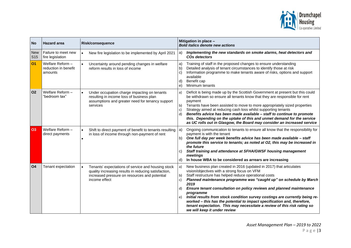![](_page_34_Picture_0.jpeg)

| <b>No</b>                     | <b>Hazard</b> area                                  | <b>Risk/consequence</b>                                                                                                                                                      | Mitigation in place -<br><b>Bold italics denote new actions</b>                                                                                                                                                                                                                                                                                                                                                                                                                                                                                                                                                                                       |  |  |  |
|-------------------------------|-----------------------------------------------------|------------------------------------------------------------------------------------------------------------------------------------------------------------------------------|-------------------------------------------------------------------------------------------------------------------------------------------------------------------------------------------------------------------------------------------------------------------------------------------------------------------------------------------------------------------------------------------------------------------------------------------------------------------------------------------------------------------------------------------------------------------------------------------------------------------------------------------------------|--|--|--|
| <b>New</b><br>S <sub>15</sub> | Failure to meet new<br>fire legislation             | New fire legislation to be implemented by April 2021<br>$\bullet$                                                                                                            | Implementing the new standards on smoke alarms, heat detectors and<br>a)<br><b>COs detectors</b>                                                                                                                                                                                                                                                                                                                                                                                                                                                                                                                                                      |  |  |  |
| <b>O1</b>                     | Welfare Reform -<br>reduction in benefit<br>amounts | Uncertainty around pending changes in welfare<br>$\bullet$<br>reform results in loss of income                                                                               | Training of staff in the proposed changes to ensure understanding<br>a)<br>Detailed analysis of tenant circumstances to identify those at risk<br>b)<br>Information programme to make tenants aware of risks, options and support<br>$\mathsf{c})$<br>available<br>Benefit cap<br>d)<br>Minimum tenants<br>e)                                                                                                                                                                                                                                                                                                                                         |  |  |  |
| <b>O2</b>                     | Welfare Reform -<br>"bedroom tax"                   | Under occupation charge impacting on tenants<br>$\bullet$<br>resulting in income loss of business plan<br>assumptions and greater need for tenancy support<br>services       | Deficit is being made up by the Scottish Government at present but this could<br>a)<br>be withdrawn so ensure all tenants know that they are responsible for rent<br>payment<br>Tenants have been assisted to move to more appropriately sized properties<br>b)<br>Strategy aimed at reducing cash loss whilst supporting tenants<br>c)<br>Benefits advice has been made available - staff to continue to promote<br>d)<br>this. Depending on the uptake of this and unmet demand for the service<br>as UC rolls out in Glasgow, the Board may consider an increased service                                                                          |  |  |  |
| <b>O3</b>                     | Welfare Reform -<br>direct payments                 | Shift to direct payment of benefit to tenants resulting<br>in loss of income through non-payment of rent<br>$\bullet$                                                        | Ongoing communication to tenants to ensure all know that the responsibility for<br>a)<br>payment is with the tenant<br>One full day per week benefits advice has been made available - staff<br>b)<br>promote this service to tenants; as noted at O2, this may be increased in<br>the future<br>Staff training and attendance at SFHA/GWSF housing management<br>C)<br>meetings<br>In house WBA to be considered as arrears are increasing<br>d)                                                                                                                                                                                                     |  |  |  |
| <b>O4</b>                     | Tenant expectation                                  | Tenants' expectations of service and housing stock<br>quality increasing results in reducing satisfaction,<br>increased pressure on resources and potential<br>income effect | New business plan created in 2016 (updated in 2017) that articulates<br>a)<br>vision/objectives with a strong focus on VFM<br>Staff restructure has helped reduce operational costs<br>b)<br>Planned maintenance programme was "caught up" on schedule by March<br>c)<br>2019<br>Ensure tenant consultation on policy reviews and planned maintenance<br>d)<br>programme<br>Initial results from stock condition survey costings are currently being re-<br>e)<br>worked - this has the potential to impact specification and, therefore,<br>tenant expectation. This may necessitate a review of this risk rating so<br>we will keep it under review |  |  |  |